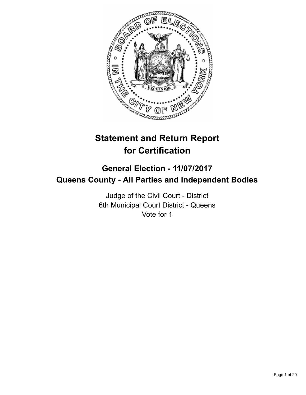

# **Statement and Return Report for Certification**

# **General Election - 11/07/2017 Queens County - All Parties and Independent Bodies**

Judge of the Civil Court - District 6th Municipal Court District - Queens Vote for 1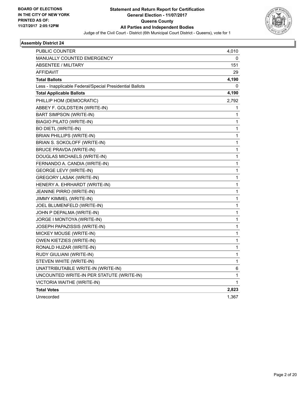

| <b>PUBLIC COUNTER</b>                                    | 4,010        |
|----------------------------------------------------------|--------------|
| <b>MANUALLY COUNTED EMERGENCY</b>                        | 0            |
| <b>ABSENTEE / MILITARY</b>                               | 151          |
| AFFIDAVIT                                                | 29           |
| <b>Total Ballots</b>                                     | 4,190        |
| Less - Inapplicable Federal/Special Presidential Ballots | 0            |
| <b>Total Applicable Ballots</b>                          | 4,190        |
| PHILLIP HOM (DEMOCRATIC)                                 | 2,792        |
| ABBEY F. GOLDSTEIN (WRITE-IN)                            | 1            |
| BART SIMPSON (WRITE-IN)                                  | 1            |
| <b>BIAGIO PILATO (WRITE-IN)</b>                          | 1            |
| <b>BO DIETL (WRITE-IN)</b>                               | 1            |
| <b>BRIAN PHILLIPS (WRITE-IN)</b>                         | 1            |
| BRIAN S. SOKOLOFF (WRITE-IN)                             | 1            |
| <b>BRUCE PRAVDA (WRITE-IN)</b>                           | 1            |
| DOUGLAS MICHAELS (WRITE-IN)                              | $\mathbf 1$  |
| FERNANDO A. CANDIA (WRITE-IN)                            | 1            |
| <b>GEORGE LEVY (WRITE-IN)</b>                            | 1            |
| <b>GREGORY LASAK (WRITE-IN)</b>                          | 1            |
| HENERY A. EHRHARDT (WRITE-IN)                            | 1            |
| JEANINE PIRRO (WRITE-IN)                                 | 1            |
| JIMMY KIMMEL (WRITE-IN)                                  | 1            |
| JOEL BLUMENFELD (WRITE-IN)                               | 1            |
| JOHN P DEPALMA (WRITE-IN)                                | 1            |
| JORGE I MONTOYA (WRITE-IN)                               | 1            |
| JOSEPH PAPAZISSIS (WRITE-IN)                             | 1            |
| MICKEY MOUSE (WRITE-IN)                                  | 1            |
| OWEN KIETZIES (WRITE-IN)                                 | 1            |
| RONALD HUZAR (WRITE-IN)                                  | 1            |
| RUDY GIULIANI (WRITE-IN)                                 | 1            |
| STEVEN WHITE (WRITE-IN)                                  | $\mathbf{1}$ |
| UNATTRIBUTABLE WRITE-IN (WRITE-IN)                       | 6            |
| UNCOUNTED WRITE-IN PER STATUTE (WRITE-IN)                | 1            |
| VICTORIA WAITHE (WRITE-IN)                               | 1            |
| <b>Total Votes</b>                                       | 2,823        |
| Unrecorded                                               | 1,367        |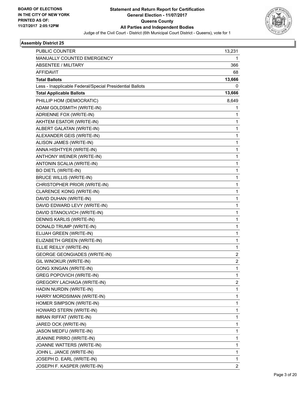

| <b>PUBLIC COUNTER</b>                                    | 13,231         |
|----------------------------------------------------------|----------------|
| MANUALLY COUNTED EMERGENCY                               | 1              |
| ABSENTEE / MILITARY                                      | 366            |
| <b>AFFIDAVIT</b>                                         | 68             |
| <b>Total Ballots</b>                                     | 13,666         |
| Less - Inapplicable Federal/Special Presidential Ballots | 0              |
| <b>Total Applicable Ballots</b>                          | 13,666         |
| PHILLIP HOM (DEMOCRATIC)                                 | 8,649          |
| ADAM GOLDSMITH (WRITE-IN)                                | 1              |
| ADRIENNE FOX (WRITE-IN)                                  | 1              |
| AKHTEM ESATOR (WRITE-IN)                                 | 1              |
| ALBERT GALATAN (WRITE-IN)                                | 1              |
| ALEXANDER GEIS (WRITE-IN)                                | 1              |
| ALISON JAMES (WRITE-IN)                                  | 1              |
| ANNA HISHTYER (WRITE-IN)                                 | 1              |
| ANTHONY WEINER (WRITE-IN)                                | 1              |
| ANTONIN SCALIA (WRITE-IN)                                | 1              |
| <b>BO DIETL (WRITE-IN)</b>                               | 1              |
| <b>BRUCE WILLIS (WRITE-IN)</b>                           | 1              |
| CHRISTOPHER PRIOR (WRITE-IN)                             | 1              |
| <b>CLARENCE KONG (WRITE-IN)</b>                          | 1              |
| DAVID DUHAN (WRITE-IN)                                   | 1              |
| DAVID EDWARD LEVY (WRITE-IN)                             | 1              |
| DAVID STANOLVICH (WRITE-IN)                              | 1              |
| DENNIS KARLIS (WRITE-IN)                                 | 1              |
| DONALD TRUMP (WRITE-IN)                                  | 1              |
| ELIJAH GREEN (WRITE-IN)                                  | 1              |
| ELIZABETH GREEN (WRITE-IN)                               | 1              |
| ELLIE REILLY (WRITE-IN)                                  | 1              |
| <b>GEORGE GEONGIADES (WRITE-IN)</b>                      | 2              |
| GIL WINOKUR (WRITE-IN)                                   | 2              |
| <b>GONG XINGAN (WRITE-IN)</b>                            | 1              |
| <b>GREG POPOVICH (WRITE-IN)</b>                          | 1              |
| GREGORY LACHAGA (WRITE-IN)                               | 2              |
| HADIN NURDIN (WRITE-IN)                                  | 1              |
| HARRY MORDSIMAN (WRITE-IN)                               | 1              |
| HOMER SIMPSON (WRITE-IN)                                 | 1              |
| HOWARD STERN (WRITE-IN)                                  | 1              |
| <b>IMRAN RIFFAT (WRITE-IN)</b>                           | 1              |
| JARED OCK (WRITE-IN)                                     | 1              |
| JASON MEDFU (WRITE-IN)                                   | 1              |
| JEANINE PIRRO (WRITE-IN)                                 | 1              |
| JOANNE WATTERS (WRITE-IN)                                | 1              |
| JOHN L. JANCE (WRITE-IN)                                 | 1              |
| JOSEPH D. EARL (WRITE-IN)                                | 1              |
| JOSEPH F. KASPER (WRITE-IN)                              | $\overline{c}$ |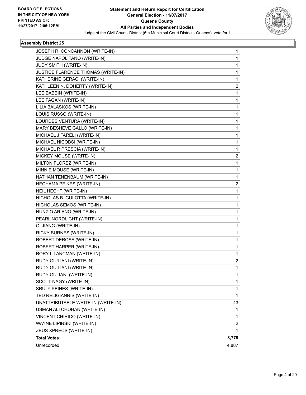

| JOSEPH R. CONCANNON (WRITE-IN)     | 1            |
|------------------------------------|--------------|
| JUDGE NAPOLITANO (WRITE-IN)        | 1            |
| JUDY SMITH (WRITE-IN)              | 1            |
| JUSTICE FLARENCE THOMAS (WRITE-IN) | $\mathbf{1}$ |
| KATHERINE GERACI (WRITE-IN)        | 1            |
| KATHLEEN N. DOHERTY (WRITE-IN)     | 2            |
| LEE BABBIN (WRITE-IN)              | $\mathbf{1}$ |
| LEE FAGAN (WRITE-IN)               | 1            |
| LILIA BALASKOS (WRITE-IN)          | 1            |
| LOUIS RUSSO (WRITE-IN)             | $\mathbf{1}$ |
| LOURDES VENTURA (WRITE-IN)         | 1            |
| MARY BESHEVE GALLO (WRITE-IN)      | 1            |
| MICHAEL J FARELI (WRITE-IN)        | $\mathbf{1}$ |
| MICHAEL NICOBSI (WRITE-IN)         | 1            |
| MICHAEL R PRESCIA (WRITE-IN)       | 1            |
| MICKEY MOUSE (WRITE-IN)            | 2            |
| MILTON FLOREZ (WRITE-IN)           | 1            |
| MINNIE MOUSE (WRITE-IN)            | 1            |
| NATHAN TENENBAUM (WRITE-IN)        | $\mathbf{1}$ |
| NECHAMA PEIKES (WRITE-IN)          | 2            |
| NEIL HECHT (WRITE-IN)              | 1            |
| NICHOLAS B. GULOTTA (WRITE-IN)     | $\mathbf{1}$ |
| NICHOLAS SEMOS (WRITE-IN)          | 1            |
| NUNZIO ARIANO (WRITE-IN)           | 1            |
| PEARL NORDLICHT (WRITE-IN)         | $\mathbf{1}$ |
| QI JIANG (WRITE-IN)                | 1            |
| RICKY BURNES (WRITE-IN)            | 1            |
| ROBERT DEROSA (WRITE-IN)           | $\mathbf{1}$ |
| ROBERT HARPER (WRITE-IN)           | 1            |
| RORY I. LANCMAN (WRITE-IN)         | 1            |
| RUDY GIULIANI (WRITE-IN)           | 2            |
| RUDY GUILIANI (WRITE-IN)           | 1            |
| RUDY GULIANI (WRITE-IN)            | 1            |
| SCOTT NAGY (WRITE-IN)              | $\mathbf{1}$ |
| SRULY PEIHES (WRITE-IN)            | 1            |
| TED RELIGIANNIS (WRITE-IN)         | 1            |
| UNATTRIBUTABLE WRITE-IN (WRITE-IN) | 43           |
| USMAN ALI CHOHAN (WRITE-IN)        | 1            |
| VINCENT CHIRICO (WRITE-IN)         | 1            |
| WAYNE LIPINSKI (WRITE-IN)          | 2            |
| ZEUS XPRECS (WRITE-IN)             | 1            |
| <b>Total Votes</b>                 | 8,779        |
| Unrecorded                         | 4,887        |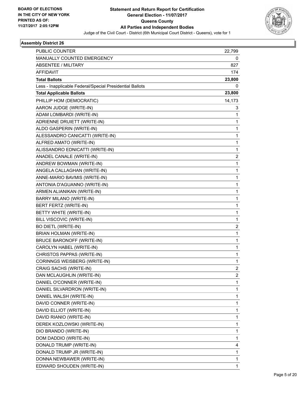

| PUBLIC COUNTER                                           | 22,799                  |
|----------------------------------------------------------|-------------------------|
| MANUALLY COUNTED EMERGENCY                               | 0                       |
| ABSENTEE / MILITARY                                      | 827                     |
| <b>AFFIDAVIT</b>                                         | 174                     |
| <b>Total Ballots</b>                                     | 23,800                  |
| Less - Inapplicable Federal/Special Presidential Ballots | 0                       |
| <b>Total Applicable Ballots</b>                          | 23,800                  |
| PHILLIP HOM (DEMOCRATIC)                                 | 14,173                  |
| AARON JUDGE (WRITE-IN)                                   | 3                       |
| ADAM LOMBARDI (WRITE-IN)                                 | 1                       |
| ADRIENNE DRUIETT (WRITE-IN)                              | 1                       |
| ALDO GASPERIN (WRITE-IN)                                 | 1                       |
| ALESSANDRO CANICATTI (WRITE-IN)                          | 1                       |
| ALFRED AMATO (WRITE-IN)                                  | 1                       |
| ALISSANDRO EDNICATTI (WRITE-IN)                          | 1                       |
| ANADEL CANALE (WRITE-IN)                                 | $\overline{2}$          |
| ANDREW BOWMAN (WRITE-IN)                                 | 1                       |
| ANGELA CALLAGHAN (WRITE-IN)                              | 1                       |
| ANNE-MARIO BAVMIS (WRITE-IN)                             | 1                       |
| ANTONIA D'AGUANNO (WRITE-IN)                             | 1                       |
| ARMEN ALIANIKAN (WRITE-IN)                               | 1                       |
| BARRY MILANO (WRITE-IN)                                  | 1                       |
| BERT FERTZ (WRITE-IN)                                    | 1                       |
| BETTY WHITE (WRITE-IN)                                   | 1                       |
| BILL VISCOVIC (WRITE-IN)                                 | 1                       |
| <b>BO DIETL (WRITE-IN)</b>                               | $\overline{\mathbf{c}}$ |
| BRIAN HOLMAN (WRITE-IN)                                  | 1                       |
| <b>BRUCE BARONOFF (WRITE-IN)</b>                         | 1                       |
| CAROLYN HABEL (WRITE-IN)                                 | 1                       |
| CHRISTOS PAPPAS (WRITE-IN)                               | 1                       |
| CORINNGS WEISBERG (WRITE-IN)                             | 1                       |
| CRAIG SACHS (WRITE-IN)                                   | 2                       |
| DAN MCLAUGHLIN (WRITE-IN)                                | 2                       |
| DANIEL O'CONNER (WRITE-IN)                               | 1                       |
| DANIEL SILVARDRON (WRITE-IN)                             | 1                       |
| DANIEL WALSH (WRITE-IN)                                  | 1                       |
| DAVID CONNER (WRITE-IN)                                  | 1                       |
| DAVID ELLIOT (WRITE-IN)                                  | 1                       |
| DAVID RIANIO (WRITE-IN)                                  | 1                       |
| DEREK KOZLOWSKI (WRITE-IN)                               | 1                       |
| DIO BRANDO (WRITE-IN)                                    | 1                       |
| DOM DADDIO (WRITE-IN)                                    | 1                       |
| DONALD TRUMP (WRITE-IN)                                  | 4                       |
| DONALD TRUMP JR (WRITE-IN)                               | 1                       |
| DONNA NEWBAWER (WRITE-IN)                                | 1                       |
| EDWARD SHOUDEN (WRITE-IN)                                | 1                       |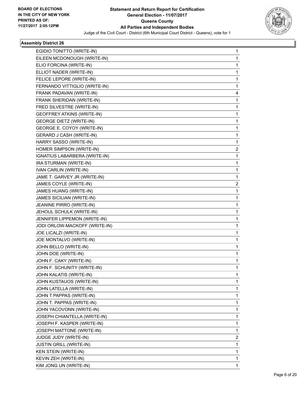

| EGIDIO TONITTO (WRITE-IN)         | 1 |
|-----------------------------------|---|
| EILEEN MCDONOUGH (WRITE-IN)       | 1 |
| ELIO FORCINA (WRITE-IN)           | 1 |
| ELLIOT NADER (WRITE-IN)           | 1 |
| FELICE LEPORE (WRITE-IN)          | 1 |
| FERNANDO VITTIGLIO (WRITE-IN)     | 1 |
| FRANK PADAVAN (WRITE-IN)          | 4 |
| FRANK SHERIDAN (WRITE-IN)         | 1 |
| FRED SILVESTRE (WRITE-IN)         | 1 |
| <b>GEOFFREY ATKINS (WRITE-IN)</b> | 1 |
| <b>GEORGE DIETZ (WRITE-IN)</b>    | 1 |
| GEORGE E. COYOY (WRITE-IN)        | 1 |
| GERARD J CASH (WRITE-IN)          | 1 |
| HARRY SASSO (WRITE-IN)            | 1 |
| HOMER SIMPSON (WRITE-IN)          | 2 |
| IGNATIUS LABARBERA (WRITE-IN)     | 1 |
| IRA STURMAN (WRITE-IN)            | 1 |
| IVAN CARLIN (WRITE-IN)            | 1 |
| JAME T. GARVEY JR (WRITE-IN)      | 1 |
| JAMES COYLE (WRITE-IN)            | 2 |
| JAMES HUANG (WRITE-IN)            | 1 |
| <b>JAMES SICILIAN (WRITE-IN)</b>  | 1 |
| JEANINE PIRRO (WRITE-IN)          | 1 |
| JEHOUL SCHULK (WRITE-IN)          | 1 |
| JENNIFER LIPPEMON (WRITE-IN)      | 1 |
| JODI ORLOW-MACKOFF (WRITE-IN)     | 1 |
| JOE LICALZI (WRITE-IN)            | 1 |
| JOE MONTALVO (WRITE-IN)           | 1 |
| JOHN BELLO (WRITE-IN)             | 1 |
| JOHN DOE (WRITE-IN)               | 1 |
| JOHN F. CAKY (WRITE-IN)           | 1 |
| JOHN F. SCHUNITY (WRITE-IN)       | 1 |
| JOHN KALATIS (WRITE-IN)           | 1 |
| JOHN KUSTAUOS (WRITE-IN)          | 1 |
| JOHN LATELLA (WRITE-IN)           | 1 |
| JOHN T PAPPAS (WRITE-IN)          | 1 |
| JOHN T. PAPPAS (WRITE-IN)         | 1 |
| JOHN YACOVONN (WRITE-IN)          | 1 |
| JOSEPH CHIANTELLA (WRITE-IN)      | 1 |
| JOSEPH F. KASPER (WRITE-IN)       | 1 |
| JOSEPH MATTONE (WRITE-IN)         | 1 |
| JUDGE JUDY (WRITE-IN)             | 2 |
| <b>JUSTIN GRILL (WRITE-IN)</b>    | 1 |
| <b>KEN STEIN (WRITE-IN)</b>       | 1 |
| KEVIN ZEH (WRITE-IN)              | 1 |
| KIM JONG UN (WRITE-IN)            | 1 |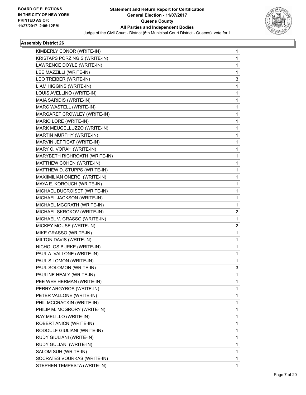

| KIMBERLY CONOR (WRITE-IN)     | 1 |
|-------------------------------|---|
| KRISTAPS PORZINGIS (WRITE-IN) | 1 |
| LAWRENCE DOYLE (WRITE-IN)     | 1 |
| LEE MAZZILLI (WRITE-IN)       | 1 |
| LEO TREIBER (WRITE-IN)        | 3 |
| LIAM HIGGINS (WRITE-IN)       | 1 |
| LOUIS AVELLINO (WRITE-IN)     | 1 |
| MAIA SARIDIS (WRITE-IN)       | 1 |
| MARC WASTELL (WRITE-IN)       | 1 |
| MARGARET CROWLEY (WRITE-IN)   | 1 |
| MARIO LORE (WRITE-IN)         | 1 |
| MARK MEUGELLUZZO (WRITE-IN)   | 1 |
| MARTIN MURPHY (WRITE-IN)      | 1 |
| MARVIN JEFFICAT (WRITE-IN)    | 1 |
| MARY C. VORAH (WRITE-IN)      | 1 |
| MARYBETH RICHROATH (WRITE-IN) | 1 |
| MATTHEW COHEN (WRITE-IN)      | 1 |
| MATTHEW D. STUPPS (WRITE-IN)  | 1 |
| MAXIIMILIAN ONERCI (WRITE-IN) | 1 |
| MAYA E. KOROUCH (WRITE-IN)    | 1 |
| MICHAEL DUCROISET (WRITE-IN)  | 1 |
| MICHAEL JACKSON (WRITE-IN)    | 1 |
| MICHAEL MCGRATH (WRITE-IN)    | 1 |
| MICHAEL SKROKOV (WRITE-IN)    | 2 |
| MICHAEL V. GRASSO (WRITE-IN)  | 1 |
| MICKEY MOUSE (WRITE-IN)       | 2 |
| MIKE GRASSO (WRITE-IN)        | 1 |
| MILTON DAVIS (WRITE-IN)       | 1 |
| NICHOLOS BURKE (WRITE-IN)     | 1 |
| PAUL A. VALLONE (WRITE-IN)    | 1 |
| PAUL SILOMON (WRITE-IN)       | 1 |
| PAUL SOLOMON (WRITE-IN)       | 3 |
| PAULINE HEALY (WRITE-IN)      | 1 |
| PEE WEE HERMAN (WRITE-IN)     | 1 |
| PERRY ARGYROS (WRITE-IN)      | 1 |
| PETER VALLONE (WRITE-IN)      | 1 |
| PHIL MCCRACKIN (WRITE-IN)     | 1 |
| PHILIP M. MCGRORY (WRITE-IN)  | 1 |
| RAY MELILLO (WRITE-IN)        | 1 |
| ROBERT ANICN (WRITE-IN)       | 1 |
| RODOULF GIULIANI (WRITE-IN)   | 1 |
| RUDY GIULIANI (WRITE-IN)      | 1 |
| RUDY GULIANI (WRITE-IN)       | 1 |
| SALOM SUH (WRITE-IN)          | 1 |
| SOCRATES VOURKAS (WRITE-IN)   | 1 |
| STEPHEN TEMPESTA (WRITE-IN)   | 1 |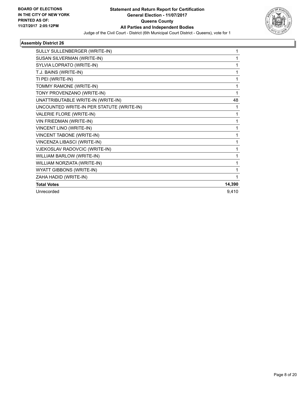

| SULLY SULLENBERGER (WRITE-IN)             |        |
|-------------------------------------------|--------|
| SUSAN SILVERMAN (WRITE-IN)                |        |
| SYLVIA LOPRATO (WRITE-IN)                 |        |
| T.J. BAINS (WRITE-IN)                     |        |
| TI PEI (WRITE-IN)                         |        |
| TOMMY RAMONE (WRITE-IN)                   |        |
| TONY PROVENZANO (WRITE-IN)                |        |
| UNATTRIBUTABLE WRITE-IN (WRITE-IN)        | 48     |
| UNCOUNTED WRITE-IN PER STATUTE (WRITE-IN) | 1      |
| VALERIE FLORE (WRITE-IN)                  | 1      |
| VIN FRIEDMAN (WRITE-IN)                   |        |
| VINCENT LINO (WRITE-IN)                   |        |
| <b>VINCENT TABONE (WRITE-IN)</b>          |        |
| VINCENZA LIBASCI (WRITE-IN)               |        |
| VJEKOSLAV RADOVCIC (WRITE-IN)             |        |
| WILLIAM BARLOW (WRITE-IN)                 |        |
| WILLIAM NORZIATA (WRITE-IN)               |        |
| WYATT GIBBONS (WRITE-IN)                  |        |
| ZAHA HADID (WRITE-IN)                     |        |
| <b>Total Votes</b>                        | 14,390 |
| Unrecorded                                | 9,410  |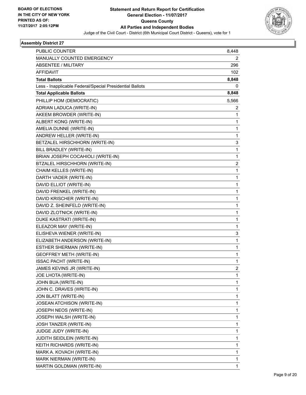

| PUBLIC COUNTER                                           | 8,448 |
|----------------------------------------------------------|-------|
| MANUALLY COUNTED EMERGENCY                               | 2     |
| ABSENTEE / MILITARY                                      | 296   |
| <b>AFFIDAVIT</b>                                         | 102   |
| <b>Total Ballots</b>                                     | 8,848 |
| Less - Inapplicable Federal/Special Presidential Ballots | 0     |
| <b>Total Applicable Ballots</b>                          | 8,848 |
| PHILLIP HOM (DEMOCRATIC)                                 | 5,566 |
| ADRIAN LADUCA (WRITE-IN)                                 | 2     |
| AKEEM BROWDER (WRITE-IN)                                 | 1     |
| ALBERT KONG (WRITE-IN)                                   | 1     |
| AMELIA DUNNE (WRITE-IN)                                  | 1     |
| ANDREW HELLER (WRITE-IN)                                 | 1     |
| BETZALEL HIRSCHHORN (WRITE-IN)                           | 3     |
| BILL BRADLEY (WRITE-IN)                                  | 1     |
| BRIAN JOSEPH COCAHIOLI (WRITE-IN)                        | 1     |
| BTZALEL HIRSCHHORN (WRITE-IN)                            | 2     |
| CHAIM KELLES (WRITE-IN)                                  | 1     |
| DARTH VADER (WRITE-IN)                                   | 1     |
| DAVID ELLIOT (WRITE-IN)                                  | 1     |
| DAVID FRENKEL (WRITE-IN)                                 | 1     |
| DAVID KRISCHER (WRITE-IN)                                | 1     |
| DAVID Z. SHEINFELD (WRITE-IN)                            | 1     |
| DAVID ZLOTNICK (WRITE-IN)                                | 1     |
| DUKE KASTRATI (WRITE-IN)                                 | 1     |
| ELEAZOR MAY (WRITE-IN)                                   | 1     |
| ELISHEVA WIENER (WRITE-IN)                               | 3     |
| ELIZABETH ANDERSON (WRITE-IN)                            | 1     |
| ESTHER SHERMAN (WRITE-IN)                                | 1     |
| <b>GEOFFREY METH (WRITE-IN)</b>                          | 1     |
| <b>ISSAC PACHT (WRITE-IN)</b>                            | 1     |
| JAMES KEVINS JR (WRITE-IN)                               | 2     |
| JOE LHOTA (WRITE-IN)                                     | 1     |
| JOHN BUA (WRITE-IN)                                      | 1     |
| JOHN C. DRAVES (WRITE-IN)                                | 1     |
| JON BLATT (WRITE-IN)                                     | 1     |
| JOSEAN ATCHISON (WRITE-IN)                               | 1     |
| JOSEPH NEOS (WRITE-IN)                                   | 1     |
| JOSEPH WALSH (WRITE-IN)                                  | 1     |
| JOSH TANZER (WRITE-IN)                                   | 1     |
| JUDGE JUDY (WRITE-IN)                                    | 1     |
| JUDITH SEIDLEIN (WRITE-IN)                               | 1     |
| KEITH RICHARDS (WRITE-IN)                                | 1     |
| MARK A. KOVACH (WRITE-IN)                                | 1     |
| MARK NIERMAN (WRITE-IN)                                  | 1     |
| MARTIN GOLDMAN (WRITE-IN)                                | 1     |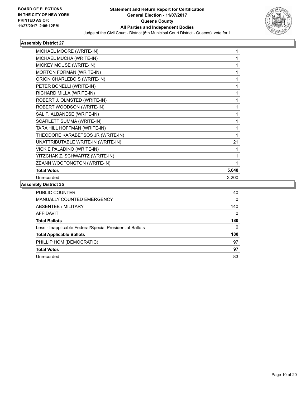

| MICHAEL MOORE (WRITE-IN)           |       |
|------------------------------------|-------|
| MICHAEL MUCHA (WRITE-IN)           | 1     |
| MICKEY MOUSE (WRITE-IN)            |       |
| <b>MORTON FORMAN (WRITE-IN)</b>    | 1     |
| ORION CHARLEBOIS (WRITE-IN)        | 1     |
| PETER BONELLI (WRITE-IN)           |       |
| RICHARD MILLA (WRITE-IN)           |       |
| ROBERT J. OLMSTED (WRITE-IN)       | 1     |
| ROBERT WOODSON (WRITE-IN)          | 1     |
| SAL F. ALBANESE (WRITE-IN)         | 1     |
| SCARLETT SUMMA (WRITE-IN)          |       |
| TARA HILL HOFFMAN (WRITE-IN)       |       |
| THEODORE KARABETSOS JR (WRITE-IN)  |       |
| UNATTRIBUTABLE WRITE-IN (WRITE-IN) | 21    |
| VICKIE PALADINO (WRITE-IN)         | 1     |
| YITZCHAK Z. SCHWARTZ (WRITE-IN)    | 1     |
| ZEANN WOOFONGTON (WRITE-IN)        |       |
| <b>Total Votes</b>                 | 5,648 |
| Unrecorded                         | 3,200 |
|                                    |       |

| PUBLIC COUNTER                                           | 40  |
|----------------------------------------------------------|-----|
| <b>MANUALLY COUNTED EMERGENCY</b>                        | 0   |
| ABSENTEE / MILITARY                                      | 140 |
| AFFIDAVIT                                                | 0   |
| <b>Total Ballots</b>                                     | 180 |
| Less - Inapplicable Federal/Special Presidential Ballots | 0   |
| <b>Total Applicable Ballots</b>                          | 180 |
| PHILLIP HOM (DEMOCRATIC)                                 | 97  |
| <b>Total Votes</b>                                       | 97  |
| Unrecorded                                               | 83  |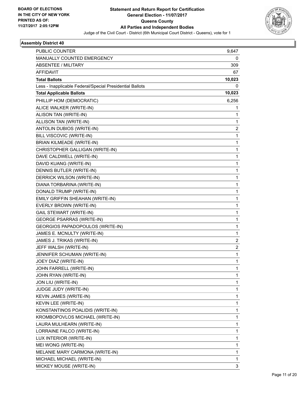

| PUBLIC COUNTER                                           | 9,647       |
|----------------------------------------------------------|-------------|
| MANUALLY COUNTED EMERGENCY                               | 0           |
| ABSENTEE / MILITARY                                      | 309         |
| AFFIDAVIT                                                | 67          |
| <b>Total Ballots</b>                                     | 10,023      |
| Less - Inapplicable Federal/Special Presidential Ballots | 0           |
| <b>Total Applicable Ballots</b>                          | 10,023      |
| PHILLIP HOM (DEMOCRATIC)                                 | 6,256       |
| ALICE WALKER (WRITE-IN)                                  | 1           |
| ALISON TAN (WRITE-IN)                                    | 1           |
| ALLISON TAN (WRITE-IN)                                   | 1           |
| ANTOLIN DUBIOS (WRITE-IN)                                | 2           |
| BILL VISCOVIC (WRITE-IN)                                 | 1           |
| <b>BRIAN KILMEADE (WRITE-IN)</b>                         | 1           |
| CHRISTOPHER GALLIGAN (WRITE-IN)                          | 1           |
| DAVE CALDWELL (WRITE-IN)                                 | 1           |
| DAVID KUANG (WRITE-IN)                                   | 1           |
| DENNIS BUTLER (WRITE-IN)                                 | 1           |
| DERRICK WILSON (WRITE-IN)                                | 1           |
| DIANA TORBARINA (WRITE-IN)                               | $\mathbf 1$ |
| DONALD TRUMP (WRITE-IN)                                  | 1           |
| EMILY GRIFFIN SHEAHAN (WRITE-IN)                         | 1           |
| EVERLY BROWN (WRITE-IN)                                  | 1           |
| <b>GAIL STEWART (WRITE-IN)</b>                           | 1           |
| <b>GEORGE PSARRAS (WRITE-IN)</b>                         | 1           |
| GEORGIOS PAPADOPOULOS (WRITE-IN)                         | 1           |
| JAMES E. MCNULTY (WRITE-IN)                              | 1           |
| JAMES J. TRIKAS (WRITE-IN)                               | 2           |
| JEFF WALSH (WRITE-IN)                                    | 2           |
| JENNIFER SCHUMAN (WRITE-IN)                              | 1           |
| JOEY DIAZ (WRITE-IN)                                     | 1           |
| JOHN FARRELL (WRITE-IN)                                  | 1           |
| JOHN RYAN (WRITE-IN)                                     | 1           |
| JON LIU (WRITE-IN)                                       | 1           |
| JUDGE JUDY (WRITE-IN)                                    | 1           |
| KEVIN JAMES (WRITE-IN)                                   | 1           |
| KEVIN LEE (WRITE-IN)                                     | 1           |
| KONSTANTINOS POALIDIS (WRITE-IN)                         | 1           |
| KROMBOPOVLOS MICHAEL (WRITE-IN)                          | 1           |
| LAURA MULHEARN (WRITE-IN)                                | 1           |
| LORRAINE FALCO (WRITE-IN)                                | 1           |
| LUX INTERIOR (WRITE-IN)                                  | 1           |
| MEI WONG (WRITE-IN)                                      | 1           |
| MELANIE MARY CARMONA (WRITE-IN)                          | 1           |
| MICHAEL MICHAEL (WRITE-IN)                               | 1           |
| MICKEY MOUSE (WRITE-IN)                                  | 3           |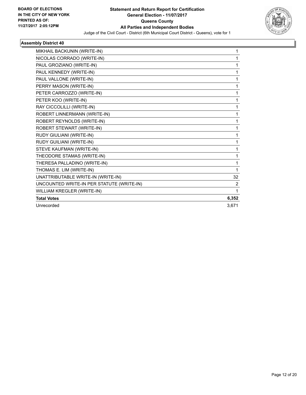

| MIKHAIL BACKUNIN (WRITE-IN)               | 1              |
|-------------------------------------------|----------------|
| NICOLAS CORRADO (WRITE-IN)                | 1              |
| PAUL GROZIANO (WRITE-IN)                  | 1              |
| PAUL KENNEDY (WRITE-IN)                   | 1              |
| PAUL VALLONE (WRITE-IN)                   | 1              |
| PERRY MASON (WRITE-IN)                    | 1              |
| PETER CARROZZO (WRITE-IN)                 | 1              |
| PETER KOO (WRITE-IN)                      | 1              |
| RAY CICCOLILLI (WRITE-IN)                 | 1              |
| ROBERT LINNERMANN (WRITE-IN)              | 1              |
| ROBERT REYNOLDS (WRITE-IN)                | 1              |
| ROBERT STEWART (WRITE-IN)                 | 1              |
| RUDY GIULIANI (WRITE-IN)                  | 1              |
| RUDY GUILIANI (WRITE-IN)                  | 1              |
| STEVE KAUFMAN (WRITE-IN)                  | 1              |
| THEODORE STAMAS (WRITE-IN)                | 1              |
| THERESA PALLADINO (WRITE-IN)              | 1              |
| THOMAS E. LIM (WRITE-IN)                  | 1              |
| UNATTRIBUTABLE WRITE-IN (WRITE-IN)        | 32             |
| UNCOUNTED WRITE-IN PER STATUTE (WRITE-IN) | $\overline{2}$ |
| WILLIAM KREGLER (WRITE-IN)                | 1              |
| <b>Total Votes</b>                        | 6,352          |
| Unrecorded                                | 3,671          |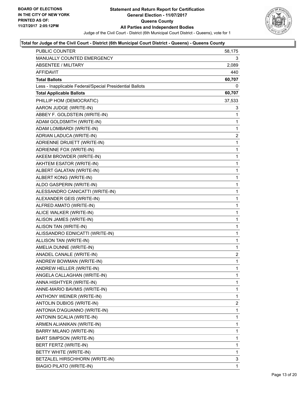

| <b>PUBLIC COUNTER</b>                                    | 58,175       |
|----------------------------------------------------------|--------------|
| MANUALLY COUNTED EMERGENCY                               | 3.           |
| <b>ABSENTEE / MILITARY</b>                               | 2,089        |
| AFFIDAVIT                                                | 440          |
| <b>Total Ballots</b>                                     | 60,707       |
| Less - Inapplicable Federal/Special Presidential Ballots | 0            |
| <b>Total Applicable Ballots</b>                          | 60,707       |
| PHILLIP HOM (DEMOCRATIC)                                 | 37,533       |
| AARON JUDGE (WRITE-IN)                                   | 3            |
| ABBEY F. GOLDSTEIN (WRITE-IN)                            | 1            |
| ADAM GOLDSMITH (WRITE-IN)                                | 1            |
| ADAM LOMBARDI (WRITE-IN)                                 | 1            |
| ADRIAN LADUCA (WRITE-IN)                                 | 2            |
| ADRIENNE DRUIETT (WRITE-IN)                              | 1            |
| ADRIENNE FOX (WRITE-IN)                                  | 1            |
| AKEEM BROWDER (WRITE-IN)                                 | $\mathbf{1}$ |
| AKHTEM ESATOR (WRITE-IN)                                 | 1            |
| ALBERT GALATAN (WRITE-IN)                                | 1            |
| ALBERT KONG (WRITE-IN)                                   | 1            |
| ALDO GASPERIN (WRITE-IN)                                 | 1            |
| ALESSANDRO CANICATTI (WRITE-IN)                          | 1            |
| ALEXANDER GEIS (WRITE-IN)                                | $\mathbf{1}$ |
| ALFRED AMATO (WRITE-IN)                                  | 1            |
| ALICE WALKER (WRITE-IN)                                  | 1            |
| ALISON JAMES (WRITE-IN)                                  | 1            |
| ALISON TAN (WRITE-IN)                                    | 1            |
| ALISSANDRO EDNICATTI (WRITE-IN)                          | 1            |
| ALLISON TAN (WRITE-IN)                                   | $\mathbf{1}$ |
| AMELIA DUNNE (WRITE-IN)                                  | 1            |
| ANADEL CANALE (WRITE-IN)                                 | 2            |
| ANDREW BOWMAN (WRITE-IN)                                 | 1            |
| ANDREW HELLER (WRITE-IN)                                 | 1            |
| ANGELA CALLAGHAN (WRITE-IN)                              | 1            |
| ANNA HISHTYER (WRITE-IN)                                 | 1            |
| ANNE-MARIO BAVMIS (WRITE-IN)                             | 1            |
| ANTHONY WEINER (WRITE-IN)                                | 1            |
| ANTOLIN DUBIOS (WRITE-IN)                                | 2            |
| ANTONIA D'AGUANNO (WRITE-IN)                             | 1            |
| ANTONIN SCALIA (WRITE-IN)                                | 1            |
| ARMEN ALIANIKAN (WRITE-IN)                               | 1            |
| <b>BARRY MILANO (WRITE-IN)</b>                           | 1            |
| BART SIMPSON (WRITE-IN)                                  | 1            |
| BERT FERTZ (WRITE-IN)                                    | 1            |
| BETTY WHITE (WRITE-IN)                                   | 1            |
| BETZALEL HIRSCHHORN (WRITE-IN)                           | 3            |
| <b>BIAGIO PILATO (WRITE-IN)</b>                          | 1            |
|                                                          |              |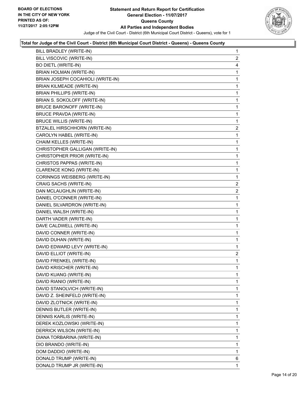

| BILL BRADLEY (WRITE-IN)           | $\mathbf{1}$   |
|-----------------------------------|----------------|
| BILL VISCOVIC (WRITE-IN)          | $\mathbf{2}$   |
| <b>BO DIETL (WRITE-IN)</b>        | 4              |
| <b>BRIAN HOLMAN (WRITE-IN)</b>    | 1              |
| BRIAN JOSEPH COCAHIOLI (WRITE-IN) | 1              |
| <b>BRIAN KILMEADE (WRITE-IN)</b>  | 1              |
| <b>BRIAN PHILLIPS (WRITE-IN)</b>  | 1              |
| BRIAN S. SOKOLOFF (WRITE-IN)      | 1              |
| <b>BRUCE BARONOFF (WRITE-IN)</b>  | 1              |
| <b>BRUCE PRAVDA (WRITE-IN)</b>    | 1              |
| <b>BRUCE WILLIS (WRITE-IN)</b>    | 1              |
| BTZALEL HIRSCHHORN (WRITE-IN)     | 2              |
| CAROLYN HABEL (WRITE-IN)          | 1              |
| CHAIM KELLES (WRITE-IN)           | 1              |
| CHRISTOPHER GALLIGAN (WRITE-IN)   | 1              |
| CHRISTOPHER PRIOR (WRITE-IN)      | 1              |
| CHRISTOS PAPPAS (WRITE-IN)        | 1              |
| CLARENCE KONG (WRITE-IN)          | 1              |
| CORINNGS WEISBERG (WRITE-IN)      | 1              |
| CRAIG SACHS (WRITE-IN)            | $\mathbf{2}$   |
| DAN MCLAUGHLIN (WRITE-IN)         | $\overline{2}$ |
| DANIEL O'CONNER (WRITE-IN)        | 1              |
| DANIEL SILVARDRON (WRITE-IN)      | 1              |
| DANIEL WALSH (WRITE-IN)           | 1              |
| DARTH VADER (WRITE-IN)            | 1              |
| DAVE CALDWELL (WRITE-IN)          | 1              |
| DAVID CONNER (WRITE-IN)           | 1              |
| DAVID DUHAN (WRITE-IN)            | 1              |
| DAVID EDWARD LEVY (WRITE-IN)      | 1              |
| DAVID ELLIOT (WRITE-IN)           | $\overline{2}$ |
| DAVID FRENKEL (WRITE-IN)          | 1              |
| DAVID KRISCHER (WRITE-IN)         | 1              |
| DAVID KUANG (WRITE-IN)            | 1              |
| DAVID RIANIO (WRITE-IN)           | 1              |
| DAVID STANOLVICH (WRITE-IN)       | 1              |
| DAVID Z. SHEINFELD (WRITE-IN)     | 1              |
| DAVID ZLOTNICK (WRITE-IN)         | 1              |
| DENNIS BUTLER (WRITE-IN)          | 1              |
| DENNIS KARLIS (WRITE-IN)          | 1              |
| DEREK KOZLOWSKI (WRITE-IN)        | 1              |
| DERRICK WILSON (WRITE-IN)         | 1              |
| DIANA TORBARINA (WRITE-IN)        | 1              |
| DIO BRANDO (WRITE-IN)             | 1              |
| DOM DADDIO (WRITE-IN)             | 1              |
| DONALD TRUMP (WRITE-IN)           | 6              |
| DONALD TRUMP JR (WRITE-IN)        | 1              |
|                                   |                |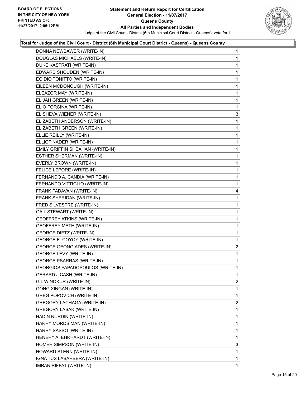

| DONNA NEWBAWER (WRITE-IN)           | $\mathbf 1$    |
|-------------------------------------|----------------|
| DOUGLAS MICHAELS (WRITE-IN)         | 1              |
| DUKE KASTRATI (WRITE-IN)            | 1              |
| EDWARD SHOUDEN (WRITE-IN)           | 1              |
| EGIDIO TONITTO (WRITE-IN)           | 1              |
| EILEEN MCDONOUGH (WRITE-IN)         | 1              |
| ELEAZOR MAY (WRITE-IN)              | 1              |
| ELIJAH GREEN (WRITE-IN)             | 1              |
| ELIO FORCINA (WRITE-IN)             | 1              |
| ELISHEVA WIENER (WRITE-IN)          | 3              |
| ELIZABETH ANDERSON (WRITE-IN)       | 1              |
| ELIZABETH GREEN (WRITE-IN)          | 1              |
| ELLIE REILLY (WRITE-IN)             | 1              |
| ELLIOT NADER (WRITE-IN)             | 1              |
| EMILY GRIFFIN SHEAHAN (WRITE-IN)    | 1              |
| ESTHER SHERMAN (WRITE-IN)           | 1              |
| EVERLY BROWN (WRITE-IN)             | 1              |
| FELICE LEPORE (WRITE-IN)            | 1              |
| FERNANDO A. CANDIA (WRITE-IN)       | 1              |
| FERNANDO VITTIGLIO (WRITE-IN)       | 1              |
| FRANK PADAVAN (WRITE-IN)            | 4              |
| FRANK SHERIDAN (WRITE-IN)           | 1              |
| FRED SILVESTRE (WRITE-IN)           | 1              |
| <b>GAIL STEWART (WRITE-IN)</b>      | 1              |
| <b>GEOFFREY ATKINS (WRITE-IN)</b>   | 1              |
| <b>GEOFFREY METH (WRITE-IN)</b>     | 1              |
| <b>GEORGE DIETZ (WRITE-IN)</b>      | 1              |
| GEORGE E. COYOY (WRITE-IN)          | 1              |
| <b>GEORGE GEONGIADES (WRITE-IN)</b> | 2              |
| <b>GEORGE LEVY (WRITE-IN)</b>       | 1              |
| <b>GEORGE PSARRAS (WRITE-IN)</b>    | 1              |
| GEORGIOS PAPADOPOULOS (WRITE-IN)    | 1              |
| <b>GERARD J CASH (WRITE-IN)</b>     | 1              |
| GIL WINOKUR (WRITE-IN)              | $\overline{2}$ |
| <b>GONG XINGAN (WRITE-IN)</b>       | 1              |
| <b>GREG POPOVICH (WRITE-IN)</b>     | 1              |
| GREGORY LACHAGA (WRITE-IN)          | 2              |
| GREGORY LASAK (WRITE-IN)            | 1              |
| HADIN NURDIN (WRITE-IN)             | 1              |
| HARRY MORDSIMAN (WRITE-IN)          | 1              |
| HARRY SASSO (WRITE-IN)              | 1              |
| HENERY A. EHRHARDT (WRITE-IN)       | 1              |
| HOMER SIMPSON (WRITE-IN)            | 3              |
| HOWARD STERN (WRITE-IN)             | 1              |
| IGNATIUS LABARBERA (WRITE-IN)       | 1              |
| IMRAN RIFFAT (WRITE-IN)             | 1              |
|                                     |                |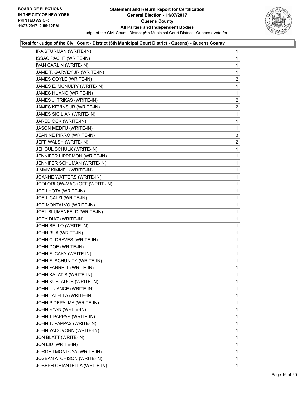

| IRA STURMAN (WRITE-IN)           | 1 |
|----------------------------------|---|
| <b>ISSAC PACHT (WRITE-IN)</b>    | 1 |
| IVAN CARLIN (WRITE-IN)           | 1 |
| JAME T. GARVEY JR (WRITE-IN)     | 1 |
| JAMES COYLE (WRITE-IN)           | 2 |
| JAMES E. MCNULTY (WRITE-IN)      | 1 |
| JAMES HUANG (WRITE-IN)           | 1 |
| JAMES J. TRIKAS (WRITE-IN)       | 2 |
| JAMES KEVINS JR (WRITE-IN)       | 2 |
| <b>JAMES SICILIAN (WRITE-IN)</b> | 1 |
| JARED OCK (WRITE-IN)             | 1 |
| JASON MEDFU (WRITE-IN)           | 1 |
| JEANINE PIRRO (WRITE-IN)         | 3 |
| JEFF WALSH (WRITE-IN)            | 2 |
| JEHOUL SCHULK (WRITE-IN)         | 1 |
| JENNIFER LIPPEMON (WRITE-IN)     | 1 |
| JENNIFER SCHUMAN (WRITE-IN)      | 1 |
| JIMMY KIMMEL (WRITE-IN)          | 1 |
| JOANNE WATTERS (WRITE-IN)        | 1 |
| JODI ORLOW-MACKOFF (WRITE-IN)    | 1 |
| JOE LHOTA (WRITE-IN)             | 1 |
| JOE LICALZI (WRITE-IN)           | 1 |
| JOE MONTALVO (WRITE-IN)          | 1 |
| JOEL BLUMENFELD (WRITE-IN)       | 1 |
| JOEY DIAZ (WRITE-IN)             | 1 |
| JOHN BELLO (WRITE-IN)            | 1 |
| JOHN BUA (WRITE-IN)              | 1 |
| JOHN C. DRAVES (WRITE-IN)        | 1 |
| JOHN DOE (WRITE-IN)              | 1 |
| JOHN F. CAKY (WRITE-IN)          | 1 |
| JOHN F. SCHUNITY (WRITE-IN)      | 1 |
| JOHN FARRELL (WRITE-IN)          | 1 |
| JOHN KALATIS (WRITE-IN)          | 1 |
| JOHN KUSTAUOS (WRITE-IN)         | 1 |
| JOHN L. JANCE (WRITE-IN)         | 1 |
| JOHN LATELLA (WRITE-IN)          | 1 |
| JOHN P DEPALMA (WRITE-IN)        | 1 |
| JOHN RYAN (WRITE-IN)             | 1 |
| JOHN T PAPPAS (WRITE-IN)         | 1 |
| JOHN T. PAPPAS (WRITE-IN)        | 1 |
| JOHN YACOVONN (WRITE-IN)         | 1 |
| JON BLATT (WRITE-IN)             | 1 |
| JON LIU (WRITE-IN)               | 1 |
| JORGE I MONTOYA (WRITE-IN)       | 1 |
| JOSEAN ATCHISON (WRITE-IN)       | 1 |
| JOSEPH CHIANTELLA (WRITE-IN)     | 1 |
|                                  |   |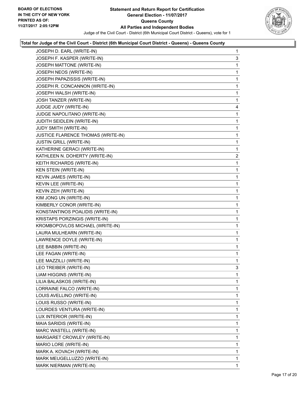

| JOSEPH D. EARL (WRITE-IN)          | 1              |
|------------------------------------|----------------|
| JOSEPH F. KASPER (WRITE-IN)        | 3              |
| JOSEPH MATTONE (WRITE-IN)          | 1              |
| JOSEPH NEOS (WRITE-IN)             | 1              |
| JOSEPH PAPAZISSIS (WRITE-IN)       | 1              |
| JOSEPH R. CONCANNON (WRITE-IN)     | 1              |
| JOSEPH WALSH (WRITE-IN)            | 1              |
| JOSH TANZER (WRITE-IN)             | 1              |
| JUDGE JUDY (WRITE-IN)              | 4              |
| JUDGE NAPOLITANO (WRITE-IN)        | 1              |
| JUDITH SEIDLEIN (WRITE-IN)         | 1              |
| JUDY SMITH (WRITE-IN)              | 1              |
| JUSTICE FLARENCE THOMAS (WRITE-IN) | 1              |
| JUSTIN GRILL (WRITE-IN)            | 1              |
| KATHERINE GERACI (WRITE-IN)        | 1              |
| KATHLEEN N. DOHERTY (WRITE-IN)     | $\overline{a}$ |
| KEITH RICHARDS (WRITE-IN)          | 1              |
| KEN STEIN (WRITE-IN)               | 1              |
| KEVIN JAMES (WRITE-IN)             | 1              |
| KEVIN LEE (WRITE-IN)               | 1              |
| KEVIN ZEH (WRITE-IN)               | 1              |
| KIM JONG UN (WRITE-IN)             | 1              |
| KIMBERLY CONOR (WRITE-IN)          | 1              |
| KONSTANTINOS POALIDIS (WRITE-IN)   | 1              |
| KRISTAPS PORZINGIS (WRITE-IN)      | 1              |
| KROMBOPOVLOS MICHAEL (WRITE-IN)    | 1              |
| LAURA MULHEARN (WRITE-IN)          | 1              |
| LAWRENCE DOYLE (WRITE-IN)          | 1              |
| LEE BABBIN (WRITE-IN)              | 1              |
| LEE FAGAN (WRITE-IN)               | 1              |
| LEE MAZZILLI (WRITE-IN)            | 1              |
| LEO TREIBER (WRITE-IN)             | 3              |
| LIAM HIGGINS (WRITE-IN)            | 1              |
| LILIA BALASKOS (WRITE-IN)          | 1              |
| LORRAINE FALCO (WRITE-IN)          | 1              |
| LOUIS AVELLINO (WRITE-IN)          | 1              |
| LOUIS RUSSO (WRITE-IN)             | 1              |
| LOURDES VENTURA (WRITE-IN)         | 1              |
| LUX INTERIOR (WRITE-IN)            | 1              |
| MAIA SARIDIS (WRITE-IN)            | 1              |
| MARC WASTELL (WRITE-IN)            | 1              |
| MARGARET CROWLEY (WRITE-IN)        | 1              |
| MARIO LORE (WRITE-IN)              | 1              |
| MARK A. KOVACH (WRITE-IN)          | 1              |
| MARK MEUGELLUZZO (WRITE-IN)        | 1              |
| MARK NIERMAN (WRITE-IN)            | 1              |
|                                    |                |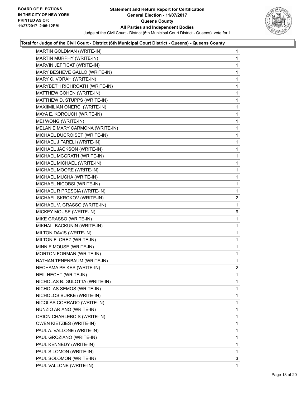

| MARTIN GOLDMAN (WRITE-IN)       | 1              |
|---------------------------------|----------------|
| MARTIN MURPHY (WRITE-IN)        | 1              |
| MARVIN JEFFICAT (WRITE-IN)      | 1              |
| MARY BESHEVE GALLO (WRITE-IN)   | 1              |
| MARY C. VORAH (WRITE-IN)        | 1              |
| MARYBETH RICHROATH (WRITE-IN)   | $\mathbf{1}$   |
| MATTHEW COHEN (WRITE-IN)        | 1              |
| MATTHEW D. STUPPS (WRITE-IN)    | 1              |
| MAXIIMILIAN ONERCI (WRITE-IN)   | 1              |
| MAYA E. KOROUCH (WRITE-IN)      | 1              |
| MEI WONG (WRITE-IN)             | 1              |
| MELANIE MARY CARMONA (WRITE-IN) | $\mathbf{1}$   |
| MICHAEL DUCROISET (WRITE-IN)    | 1              |
| MICHAEL J FARELI (WRITE-IN)     | 1              |
| MICHAEL JACKSON (WRITE-IN)      | 1              |
| MICHAEL MCGRATH (WRITE-IN)      | 1              |
| MICHAEL MICHAEL (WRITE-IN)      | 1              |
| MICHAEL MOORE (WRITE-IN)        | $\mathbf{1}$   |
| MICHAEL MUCHA (WRITE-IN)        | 1              |
| MICHAEL NICOBSI (WRITE-IN)      | 1              |
| MICHAEL R PRESCIA (WRITE-IN)    | 1              |
| MICHAEL SKROKOV (WRITE-IN)      | $\overline{a}$ |
| MICHAEL V. GRASSO (WRITE-IN)    | 1              |
| MICKEY MOUSE (WRITE-IN)         | 9              |
| MIKE GRASSO (WRITE-IN)          | 1              |
| MIKHAIL BACKUNIN (WRITE-IN)     | 1              |
| MILTON DAVIS (WRITE-IN)         | 1              |
| MILTON FLOREZ (WRITE-IN)        | 1              |
| MINNIE MOUSE (WRITE-IN)         | 1              |
| MORTON FORMAN (WRITE-IN)        | $\mathbf{1}$   |
| NATHAN TENENBAUM (WRITE-IN)     | 1              |
| NECHAMA PEIKES (WRITE-IN)       | $\overline{2}$ |
| NEIL HECHT (WRITE-IN)           | 1              |
| NICHOLAS B. GULOTTA (WRITE-IN)  | 1              |
| NICHOLAS SEMOS (WRITE-IN)       | 1              |
| NICHOLOS BURKE (WRITE-IN)       | 1              |
| NICOLAS CORRADO (WRITE-IN)      | 1              |
| NUNZIO ARIANO (WRITE-IN)        | 1              |
| ORION CHARLEBOIS (WRITE-IN)     | 1              |
| OWEN KIETZIES (WRITE-IN)        | 1              |
| PAUL A. VALLONE (WRITE-IN)      | 1              |
| PAUL GROZIANO (WRITE-IN)        | 1              |
| PAUL KENNEDY (WRITE-IN)         | 1              |
| PAUL SILOMON (WRITE-IN)         | 1              |
| PAUL SOLOMON (WRITE-IN)         | 3              |
| PAUL VALLONE (WRITE-IN)         | 1              |
|                                 |                |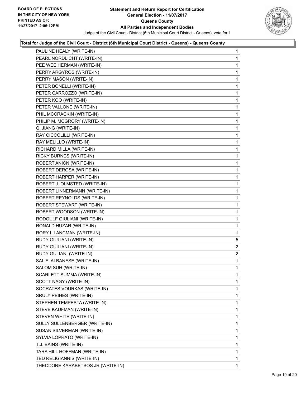

| PAULINE HEALY (WRITE-IN)          | $\mathbf 1$    |
|-----------------------------------|----------------|
| PEARL NORDLICHT (WRITE-IN)        | 1              |
| PEE WEE HERMAN (WRITE-IN)         | 1              |
| PERRY ARGYROS (WRITE-IN)          | 1              |
| PERRY MASON (WRITE-IN)            | 1              |
| PETER BONELLI (WRITE-IN)          | 1              |
| PETER CARROZZO (WRITE-IN)         | 1              |
| PETER KOO (WRITE-IN)              | 1              |
| PETER VALLONE (WRITE-IN)          | 1              |
| PHIL MCCRACKIN (WRITE-IN)         | 1              |
| PHILIP M. MCGRORY (WRITE-IN)      | 1              |
| QI JIANG (WRITE-IN)               | 1              |
| RAY CICCOLILLI (WRITE-IN)         | 1              |
| RAY MELILLO (WRITE-IN)            | 1              |
| RICHARD MILLA (WRITE-IN)          | 1              |
| RICKY BURNES (WRITE-IN)           | 1              |
| ROBERT ANICN (WRITE-IN)           | 1              |
| ROBERT DEROSA (WRITE-IN)          | 1              |
| ROBERT HARPER (WRITE-IN)          | 1              |
| ROBERT J. OLMSTED (WRITE-IN)      | 1              |
| ROBERT LINNERMANN (WRITE-IN)      | 1              |
| ROBERT REYNOLDS (WRITE-IN)        | 1              |
| ROBERT STEWART (WRITE-IN)         | 1              |
| ROBERT WOODSON (WRITE-IN)         | 1              |
| RODOULF GIULIANI (WRITE-IN)       | 1              |
| RONALD HUZAR (WRITE-IN)           | 1              |
| RORY I. LANCMAN (WRITE-IN)        | 1              |
| RUDY GIULIANI (WRITE-IN)          | 5              |
| RUDY GUILIANI (WRITE-IN)          | $\overline{2}$ |
| RUDY GULIANI (WRITE-IN)           | $\overline{c}$ |
| SAL F. ALBANESE (WRITE-IN)        | 1              |
| SALOM SUH (WRITE-IN)              | 1              |
| SCARLETT SUMMA (WRITE-IN)         | 1              |
| SCOTT NAGY (WRITE-IN)             | 1              |
| SOCRATES VOURKAS (WRITE-IN)       | 1              |
| SRULY PEIHES (WRITE-IN)           | 1              |
| STEPHEN TEMPESTA (WRITE-IN)       | 1              |
| STEVE KAUFMAN (WRITE-IN)          | 1              |
| STEVEN WHITE (WRITE-IN)           | 1              |
| SULLY SULLENBERGER (WRITE-IN)     | 1              |
| SUSAN SILVERMAN (WRITE-IN)        | 1              |
| SYLVIA LOPRATO (WRITE-IN)         | 1              |
| T.J. BAINS (WRITE-IN)             | 1              |
| TARA HILL HOFFMAN (WRITE-IN)      | 1              |
| TED RELIGIANNIS (WRITE-IN)        | 1              |
| THEODORE KARABETSOS JR (WRITE-IN) | 1              |
|                                   |                |